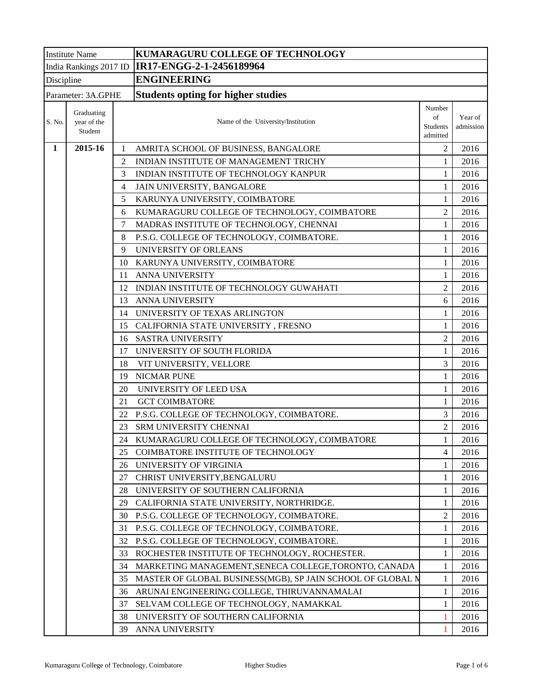| <b>Institute Name</b> |                                      |    | KUMARAGURU COLLEGE OF TECHNOLOGY                           |                                      |                      |  |  |  |
|-----------------------|--------------------------------------|----|------------------------------------------------------------|--------------------------------------|----------------------|--|--|--|
|                       |                                      |    | India Rankings 2017 ID   IR17-ENGG-2-1-2456189964          |                                      |                      |  |  |  |
| Discipline            |                                      |    | <b>ENGINEERING</b>                                         |                                      |                      |  |  |  |
|                       | Parameter: 3A.GPHE                   |    | <b>Students opting for higher studies</b>                  |                                      |                      |  |  |  |
| S. No.                | Graduating<br>year of the<br>Student |    | Name of the University/Institution                         | Number<br>of<br>Students<br>admitted | Year of<br>admission |  |  |  |
| $\mathbf{1}$          | 2015-16                              | 1  | AMRITA SCHOOL OF BUSINESS, BANGALORE                       | $\overline{2}$                       | 2016                 |  |  |  |
|                       |                                      | 2  | INDIAN INSTITUTE OF MANAGEMENT TRICHY                      | $\mathbf{1}$                         | 2016                 |  |  |  |
|                       |                                      | 3  | INDIAN INSTITUTE OF TECHNOLOGY KANPUR                      | 1                                    | 2016                 |  |  |  |
|                       |                                      | 4  | JAIN UNIVERSITY, BANGALORE                                 | $\mathbf{1}$                         | 2016                 |  |  |  |
|                       |                                      | 5  | KARUNYA UNIVERSITY, COIMBATORE                             | $\mathbf{1}$                         | 2016                 |  |  |  |
|                       |                                      | 6  | KUMARAGURU COLLEGE OF TECHNOLOGY, COIMBATORE               | $\overline{2}$                       | 2016                 |  |  |  |
|                       |                                      | 7  | MADRAS INSTITUTE OF TECHNOLOGY, CHENNAI                    | $\mathbf{1}$                         | 2016                 |  |  |  |
|                       |                                      | 8  | P.S.G. COLLEGE OF TECHNOLOGY, COIMBATORE.                  | $\mathbf{1}$                         | 2016                 |  |  |  |
|                       |                                      | 9  | UNIVERSITY OF ORLEANS                                      | 1                                    | 2016                 |  |  |  |
|                       |                                      | 10 | KARUNYA UNIVERSITY, COIMBATORE                             | 1                                    | 2016                 |  |  |  |
|                       |                                      | 11 | ANNA UNIVERSITY                                            | $\mathbf{1}$                         | 2016                 |  |  |  |
|                       |                                      |    | 12 INDIAN INSTITUTE OF TECHNOLOGY GUWAHATI                 | $\overline{2}$                       | 2016                 |  |  |  |
|                       |                                      | 13 | ANNA UNIVERSITY                                            | 6                                    | 2016                 |  |  |  |
|                       |                                      |    | 14 UNIVERSITY OF TEXAS ARLINGTON                           | $\mathbf{1}$                         | 2016                 |  |  |  |
|                       |                                      |    | 15 CALIFORNIA STATE UNIVERSITY, FRESNO                     | 1                                    | 2016                 |  |  |  |
|                       |                                      | 16 | <b>SASTRA UNIVERSITY</b>                                   | $\overline{2}$                       | 2016                 |  |  |  |
|                       |                                      | 17 | UNIVERSITY OF SOUTH FLORIDA                                | $\mathbf{1}$                         | 2016                 |  |  |  |
|                       |                                      | 18 | VIT UNIVERSITY, VELLORE                                    | 3                                    | 2016                 |  |  |  |
|                       |                                      | 19 | <b>NICMAR PUNE</b>                                         | $\mathbf{1}$                         | 2016                 |  |  |  |
|                       |                                      | 20 | UNIVERSITY OF LEED USA                                     | $\mathbf{1}$                         | 2016                 |  |  |  |
|                       |                                      | 21 | <b>GCT COIMBATORE</b>                                      | 1                                    | 2016                 |  |  |  |
|                       |                                      | 22 | P.S.G. COLLEGE OF TECHNOLOGY, COIMBATORE.                  | 3                                    | 2016                 |  |  |  |
|                       |                                      | 23 | SRM UNIVERSITY CHENNAI                                     | $\overline{2}$                       | 2016                 |  |  |  |
|                       |                                      | 24 | KUMARAGURU COLLEGE OF TECHNOLOGY, COIMBATORE               | $\mathbf{1}$                         | 2016                 |  |  |  |
|                       |                                      | 25 | COIMBATORE INSTITUTE OF TECHNOLOGY                         | 4                                    | 2016                 |  |  |  |
|                       |                                      |    | 26 UNIVERSITY OF VIRGINIA                                  | $\mathbf{1}$                         | 2016                 |  |  |  |
|                       |                                      | 27 | CHRIST UNIVERSITY, BENGALURU                               | 1                                    | 2016                 |  |  |  |
|                       |                                      | 28 | UNIVERSITY OF SOUTHERN CALIFORNIA                          | 1                                    | 2016                 |  |  |  |
|                       |                                      | 29 | CALIFORNIA STATE UNIVERSITY, NORTHRIDGE.                   | $\mathbf{1}$                         | 2016                 |  |  |  |
|                       |                                      | 30 | P.S.G. COLLEGE OF TECHNOLOGY, COIMBATORE.                  | $\overline{2}$                       | 2016                 |  |  |  |
|                       |                                      | 31 | P.S.G. COLLEGE OF TECHNOLOGY, COIMBATORE.                  | $\mathbf{1}$                         | 2016                 |  |  |  |
|                       |                                      |    | 32 P.S.G. COLLEGE OF TECHNOLOGY, COIMBATORE.               | 1                                    | 2016                 |  |  |  |
|                       |                                      | 33 | ROCHESTER INSTITUTE OF TECHNOLOGY, ROCHESTER.              | 1                                    | 2016                 |  |  |  |
|                       |                                      | 34 | MARKETING MANAGEMENT, SENECA COLLEGE, TORONTO, CANADA      | 1                                    | 2016                 |  |  |  |
|                       |                                      | 35 | MASTER OF GLOBAL BUSINESS(MGB), SP JAIN SCHOOL OF GLOBAL M | $\mathbf{1}$                         | 2016                 |  |  |  |
|                       |                                      | 36 | ARUNAI ENGINEERING COLLEGE, THIRUVANNAMALAI                | $\mathbf{1}$                         | 2016                 |  |  |  |
|                       |                                      | 37 | SELVAM COLLEGE OF TECHNOLOGY, NAMAKKAL                     | $\mathbf{1}$                         | 2016                 |  |  |  |
|                       |                                      | 38 | UNIVERSITY OF SOUTHERN CALIFORNIA                          | 1                                    | 2016                 |  |  |  |
|                       |                                      | 39 | ANNA UNIVERSITY                                            | 1                                    | 2016                 |  |  |  |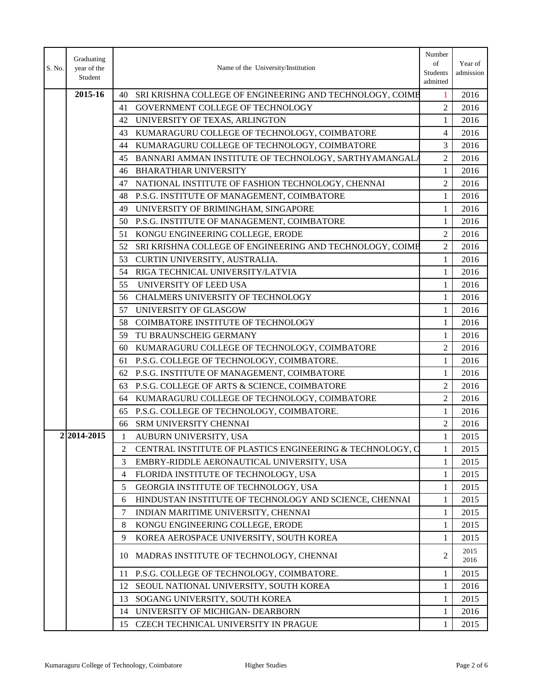| Graduating<br>S. No.<br>year of the<br>Name of the University/Institution<br>Student | Number<br>of<br>Students<br>admitted | Year of<br>admission |
|--------------------------------------------------------------------------------------|--------------------------------------|----------------------|
| 2015-16<br>40<br>SRI KRISHNA COLLEGE OF ENGINEERING AND TECHNOLOGY, COIMB            | 1                                    | 2016                 |
| 41<br>GOVERNMENT COLLEGE OF TECHNOLOGY                                               | $\overline{c}$                       | 2016                 |
| 42<br>UNIVERSITY OF TEXAS, ARLINGTON                                                 | 1                                    | 2016                 |
| KUMARAGURU COLLEGE OF TECHNOLOGY, COIMBATORE<br>43                                   | 4                                    | 2016                 |
| KUMARAGURU COLLEGE OF TECHNOLOGY, COIMBATORE<br>44                                   | 3                                    | 2016                 |
| BANNARI AMMAN INSTITUTE OF TECHNOLOGY, SARTHYAMANGALA<br>45                          | $\overline{2}$                       | 2016                 |
| <b>BHARATHIAR UNIVERSITY</b><br>46                                                   | 1                                    | 2016                 |
| NATIONAL INSTITUTE OF FASHION TECHNOLOGY, CHENNAI<br>47                              | $\overline{2}$                       | 2016                 |
| P.S.G. INSTITUTE OF MANAGEMENT, COIMBATORE<br>48                                     | $\mathbf{1}$                         | 2016                 |
| UNIVERSITY OF BRIMINGHAM, SINGAPORE<br>49                                            | 1                                    | 2016                 |
| P.S.G. INSTITUTE OF MANAGEMENT, COIMBATORE<br>50                                     | $\mathbf{1}$                         | 2016                 |
| KONGU ENGINEERING COLLEGE, ERODE<br>51                                               | $\overline{2}$                       | 2016                 |
| SRI KRISHNA COLLEGE OF ENGINEERING AND TECHNOLOGY, COIME<br>52                       | $\overline{2}$                       | 2016                 |
| CURTIN UNIVERSITY, AUSTRALIA.<br>53                                                  | $\mathbf{1}$                         | 2016                 |
| 54<br>RIGA TECHNICAL UNIVERSITY/LATVIA                                               | $\mathbf{1}$                         | 2016                 |
| 55<br>UNIVERSITY OF LEED USA                                                         | 1                                    | 2016                 |
| CHALMERS UNIVERSITY OF TECHNOLOGY<br>56                                              | 1                                    | 2016                 |
| 57<br>UNIVERSITY OF GLASGOW                                                          | $\mathbf{1}$                         | 2016                 |
| COIMBATORE INSTITUTE OF TECHNOLOGY<br>58                                             | $\mathbf{1}$                         | 2016                 |
| TU BRAUNSCHEIG GERMANY<br>59                                                         | $\mathbf{1}$                         | 2016                 |
| KUMARAGURU COLLEGE OF TECHNOLOGY, COIMBATORE<br>60                                   | 2                                    | 2016                 |
| P.S.G. COLLEGE OF TECHNOLOGY, COIMBATORE.<br>61                                      | $\mathbf{1}$                         | 2016                 |
| P.S.G. INSTITUTE OF MANAGEMENT, COIMBATORE<br>62                                     | $\mathbf{1}$                         | 2016                 |
| P.S.G. COLLEGE OF ARTS & SCIENCE, COIMBATORE<br>63                                   | $\overline{2}$                       | 2016                 |
| KUMARAGURU COLLEGE OF TECHNOLOGY, COIMBATORE<br>64                                   | $\overline{c}$                       | 2016                 |
| P.S.G. COLLEGE OF TECHNOLOGY, COIMBATORE.<br>65                                      | 1                                    | 2016                 |
| SRM UNIVERSITY CHENNAI<br>66                                                         | $\overline{c}$                       | 2016                 |
| 2 2014-2015<br>AUBURN UNIVERSITY, USA<br>1                                           |                                      | 2015                 |
| CENTRAL INSTITUTE OF PLASTICS ENGINEERING & TECHNOLOGY, C<br>2                       | 1                                    | 2015                 |
| 3<br>EMBRY-RIDDLE AERONAUTICAL UNIVERSITY, USA                                       | 1                                    | 2015                 |
| FLORIDA INSTITUTE OF TECHNOLOGY, USA<br>4                                            | 1                                    | 2015                 |
| 5<br>GEORGIA INSTITUTE OF TECHNOLOGY, USA                                            | 1                                    | 2015                 |
| HINDUSTAN INSTITUTE OF TECHNOLOGY AND SCIENCE, CHENNAI<br>6                          | 1                                    | 2015                 |
| 7<br>INDIAN MARITIME UNIVERSITY, CHENNAI                                             | 1                                    | 2015                 |
| KONGU ENGINEERING COLLEGE, ERODE<br>8                                                | 1                                    | 2015                 |
| KOREA AEROSPACE UNIVERSITY, SOUTH KOREA<br>9                                         | 1                                    | 2015                 |
| MADRAS INSTITUTE OF TECHNOLOGY, CHENNAI<br>10                                        | $\overline{2}$                       | 2015<br>2016         |
| P.S.G. COLLEGE OF TECHNOLOGY, COIMBATORE.<br>11                                      | 1                                    | 2015                 |
| SEOUL NATIONAL UNIVERSITY, SOUTH KOREA<br>12                                         | 1                                    | 2016                 |
| SOGANG UNIVERSITY, SOUTH KOREA<br>13                                                 | 1                                    | 2015                 |
| UNIVERSITY OF MICHIGAN- DEARBORN<br>14                                               | 1                                    | 2016                 |
| CZECH TECHNICAL UNIVERSITY IN PRAGUE<br>15                                           | 1                                    | 2015                 |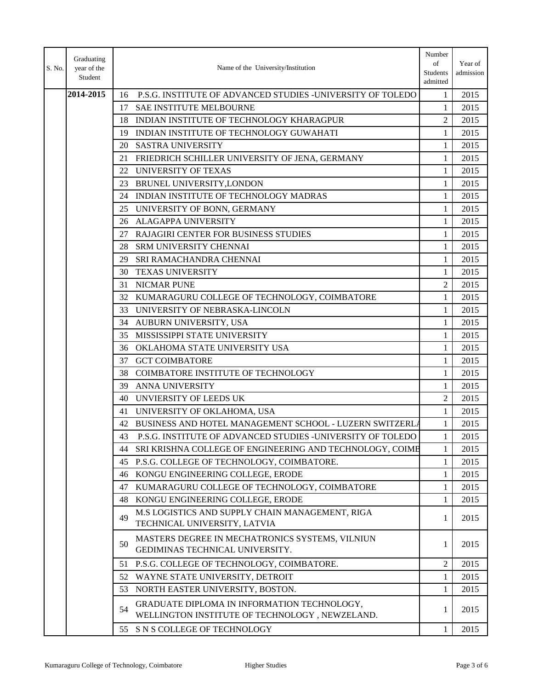| S. No. | Graduating<br>year of the<br>Student |    | Name of the University/Institution                                                            | Number<br>of<br>Students<br>admitted | Year of<br>admission |
|--------|--------------------------------------|----|-----------------------------------------------------------------------------------------------|--------------------------------------|----------------------|
|        | 2014-2015                            | 16 | P.S.G. INSTITUTE OF ADVANCED STUDIES -UNIVERSITY OF TOLEDO                                    | 1                                    | 2015                 |
|        |                                      | 17 | <b>SAE INSTITUTE MELBOURNE</b>                                                                | 1                                    | 2015                 |
|        |                                      | 18 | INDIAN INSTITUTE OF TECHNOLOGY KHARAGPUR                                                      | $\overline{2}$                       | 2015                 |
|        |                                      | 19 | INDIAN INSTITUTE OF TECHNOLOGY GUWAHATI                                                       | 1                                    | 2015                 |
|        |                                      |    | 20 SASTRA UNIVERSITY                                                                          | 1                                    | 2015                 |
|        |                                      | 21 | FRIEDRICH SCHILLER UNIVERSITY OF JENA, GERMANY                                                | $\mathbf{1}$                         | 2015                 |
|        |                                      | 22 | UNIVERSITY OF TEXAS                                                                           | 1                                    | 2015                 |
|        |                                      | 23 | BRUNEL UNIVERSITY, LONDON                                                                     | $\mathbf{1}$                         | 2015                 |
|        |                                      | 24 | INDIAN INSTITUTE OF TECHNOLOGY MADRAS                                                         | $\mathbf{1}$                         | 2015                 |
|        |                                      | 25 | UNIVERSITY OF BONN, GERMANY                                                                   | 1                                    | 2015                 |
|        |                                      | 26 | ALAGAPPA UNIVERSITY                                                                           | 1                                    | 2015                 |
|        |                                      | 27 | <b>RAJAGIRI CENTER FOR BUSINESS STUDIES</b>                                                   | $\mathbf{1}$                         | 2015                 |
|        |                                      | 28 | SRM UNIVERSITY CHENNAI                                                                        | $\mathbf{1}$                         | 2015                 |
|        |                                      | 29 | SRI RAMACHANDRA CHENNAI                                                                       | 1                                    | 2015                 |
|        |                                      | 30 | TEXAS UNIVERSITY                                                                              | $\mathbf{1}$                         | 2015                 |
|        |                                      | 31 | <b>NICMAR PUNE</b>                                                                            | $\overline{2}$                       | 2015                 |
|        |                                      | 32 | KUMARAGURU COLLEGE OF TECHNOLOGY, COIMBATORE                                                  | 1                                    | 2015                 |
|        |                                      | 33 | UNIVERSITY OF NEBRASKA-LINCOLN                                                                | $\mathbf{1}$                         | 2015                 |
|        |                                      |    | 34 AUBURN UNIVERSITY, USA                                                                     | $\mathbf{1}$                         | 2015                 |
|        |                                      | 35 | MISSISSIPPI STATE UNIVERSITY                                                                  | 1                                    | 2015                 |
|        |                                      |    | 36 OKLAHOMA STATE UNIVERSITY USA                                                              | 1                                    | 2015                 |
|        |                                      |    | 37 GCT COIMBATORE                                                                             | $\mathbf{1}$                         | 2015                 |
|        |                                      | 38 | COIMBATORE INSTITUTE OF TECHNOLOGY                                                            | 1                                    | 2015                 |
|        |                                      |    | 39 ANNA UNIVERSITY                                                                            | 1                                    | 2015                 |
|        |                                      | 40 | UNVIERSITY OF LEEDS UK                                                                        | $\overline{2}$                       | 2015                 |
|        |                                      | 41 | UNIVERSITY OF OKLAHOMA, USA                                                                   | 1                                    | 2015                 |
|        |                                      |    | 42 BUSINESS AND HOTEL MANAGEMENT SCHOOL - LUZERN SWITZERLA                                    | $\mathbf{1}$                         | 2015                 |
|        |                                      | 43 | P.S.G. INSTITUTE OF ADVANCED STUDIES -UNIVERSITY OF TOLEDO                                    |                                      | 2015                 |
|        |                                      | 44 | SRI KRISHNA COLLEGE OF ENGINEERING AND TECHNOLOGY, COIMB                                      | 1                                    | 2015                 |
|        |                                      | 45 | P.S.G. COLLEGE OF TECHNOLOGY, COIMBATORE.                                                     | 1                                    | 2015                 |
|        |                                      | 46 | KONGU ENGINEERING COLLEGE, ERODE                                                              | 1                                    | 2015                 |
|        |                                      | 47 | KUMARAGURU COLLEGE OF TECHNOLOGY, COIMBATORE                                                  | 1                                    | 2015                 |
|        |                                      | 48 | KONGU ENGINEERING COLLEGE, ERODE                                                              | 1                                    | 2015                 |
|        |                                      | 49 | M.S LOGISTICS AND SUPPLY CHAIN MANAGEMENT, RIGA<br>TECHNICAL UNIVERSITY, LATVIA               | 1                                    | 2015                 |
|        |                                      | 50 | MASTERS DEGREE IN MECHATRONICS SYSTEMS, VILNIUN<br>GEDIMINAS TECHNICAL UNIVERSITY.            | 1                                    | 2015                 |
|        |                                      | 51 | P.S.G. COLLEGE OF TECHNOLOGY, COIMBATORE.                                                     | $\overline{c}$                       | 2015                 |
|        |                                      | 52 | WAYNE STATE UNIVERSITY, DETROIT                                                               | 1                                    | 2015                 |
|        |                                      | 53 | NORTH EASTER UNIVERSITY, BOSTON.                                                              | 1                                    | 2015                 |
|        |                                      | 54 | GRADUATE DIPLOMA IN INFORMATION TECHNOLOGY,<br>WELLINGTON INSTITUTE OF TECHNOLOGY, NEWZELAND. | 1                                    | 2015                 |
|        |                                      | 55 | S N S COLLEGE OF TECHNOLOGY                                                                   | 1                                    | 2015                 |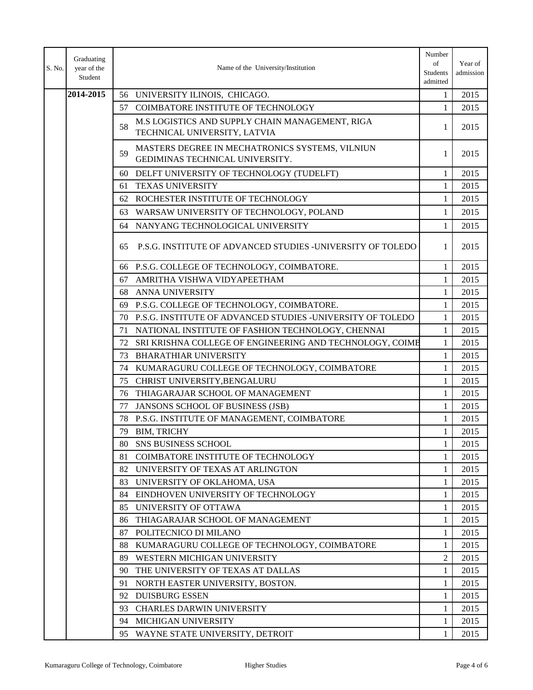| S. No. | Graduating<br>year of the<br>Student |     | Name of the University/Institution                                                 | Number<br>of<br>Students<br>admitted | Year of<br>admission |
|--------|--------------------------------------|-----|------------------------------------------------------------------------------------|--------------------------------------|----------------------|
|        | 2014-2015                            |     | 56 UNIVERSITY ILINOIS, CHICAGO.                                                    | 1                                    | 2015                 |
|        |                                      |     | 57 COIMBATORE INSTITUTE OF TECHNOLOGY                                              | 1                                    | 2015                 |
|        |                                      | 58  | M.S LOGISTICS AND SUPPLY CHAIN MANAGEMENT, RIGA<br>TECHNICAL UNIVERSITY, LATVIA    | 1                                    | 2015                 |
|        |                                      | 59  | MASTERS DEGREE IN MECHATRONICS SYSTEMS, VILNIUN<br>GEDIMINAS TECHNICAL UNIVERSITY. | 1                                    | 2015                 |
|        |                                      |     | 60 DELFT UNIVERSITY OF TECHNOLOGY (TUDELFT)                                        | 1                                    | 2015                 |
|        |                                      | 61  | <b>TEXAS UNIVERSITY</b>                                                            | 1                                    | 2015                 |
|        |                                      |     | 62 ROCHESTER INSTITUTE OF TECHNOLOGY                                               | 1                                    | 2015                 |
|        |                                      | 63  | WARSAW UNIVERSITY OF TECHNOLOGY, POLAND                                            | 1                                    | 2015                 |
|        |                                      |     | 64 NANYANG TECHNOLOGICAL UNIVERSITY                                                | 1                                    | 2015                 |
|        |                                      | 65  | P.S.G. INSTITUTE OF ADVANCED STUDIES -UNIVERSITY OF TOLEDO                         | 1                                    | 2015                 |
|        |                                      | 66  | P.S.G. COLLEGE OF TECHNOLOGY, COIMBATORE.                                          | 1                                    | 2015                 |
|        |                                      | 67  | AMRITHA VISHWA VIDYAPEETHAM                                                        | 1                                    | 2015                 |
|        |                                      | 68  | ANNA UNIVERSITY                                                                    | 1                                    | 2015                 |
|        |                                      | 69  | P.S.G. COLLEGE OF TECHNOLOGY, COIMBATORE.                                          | 1                                    | 2015                 |
|        |                                      |     | 70 P.S.G. INSTITUTE OF ADVANCED STUDIES -UNIVERSITY OF TOLEDO                      | 1                                    | 2015                 |
|        |                                      | 71  | NATIONAL INSTITUTE OF FASHION TECHNOLOGY, CHENNAI                                  | 1                                    | 2015                 |
|        |                                      | 72  | SRI KRISHNA COLLEGE OF ENGINEERING AND TECHNOLOGY, COIMB                           | 1                                    | 2015                 |
|        |                                      | 73  | <b>BHARATHIAR UNIVERSITY</b>                                                       | 1                                    | 2015                 |
|        |                                      | 74  | KUMARAGURU COLLEGE OF TECHNOLOGY, COIMBATORE                                       | 1                                    | 2015                 |
|        |                                      | 75  | CHRIST UNIVERSITY, BENGALURU                                                       | 1                                    | 2015                 |
|        |                                      | 76  | THIAGARAJAR SCHOOL OF MANAGEMENT                                                   | 1                                    | 2015                 |
|        |                                      | 77  | JANSONS SCHOOL OF BUSINESS (JSB)                                                   | 1                                    | 2015                 |
|        |                                      | 78  | P.S.G. INSTITUTE OF MANAGEMENT, COIMBATORE                                         | 1                                    | 2015                 |
|        |                                      | 79  | BIM, TRICHY                                                                        | $\mathbf{1}$                         | 2015                 |
|        |                                      | 80  | <b>SNS BUSINESS SCHOOL</b>                                                         | 1                                    | 2015                 |
|        |                                      | 81  | COIMBATORE INSTITUTE OF TECHNOLOGY                                                 | 1                                    | 2015                 |
|        |                                      | 82  | UNIVERSITY OF TEXAS AT ARLINGTON                                                   | 1                                    | 2015                 |
|        |                                      | 83  | UNIVERSITY OF OKLAHOMA, USA                                                        | 1                                    | 2015                 |
|        |                                      | 84  | EINDHOVEN UNIVERSITY OF TECHNOLOGY                                                 | 1                                    | 2015                 |
|        |                                      | 85  | UNIVERSITY OF OTTAWA                                                               | 1                                    | 2015                 |
|        |                                      | 86  | THIAGARAJAR SCHOOL OF MANAGEMENT                                                   | 1                                    | 2015                 |
|        |                                      | 87  | POLITECNICO DI MILANO                                                              | 1                                    | 2015                 |
|        |                                      | 88  | KUMARAGURU COLLEGE OF TECHNOLOGY, COIMBATORE                                       | 1                                    | 2015                 |
|        |                                      | 89. | WESTERN MICHIGAN UNIVERSITY                                                        | 2                                    | 2015                 |
|        |                                      | 90  | THE UNIVERSITY OF TEXAS AT DALLAS                                                  | 1                                    | 2015                 |
|        |                                      | 91  | NORTH EASTER UNIVERSITY, BOSTON.                                                   | 1                                    | 2015                 |
|        |                                      | 92  | <b>DUISBURG ESSEN</b>                                                              | 1                                    | 2015                 |
|        |                                      | 93  | <b>CHARLES DARWIN UNIVERSITY</b>                                                   | 1                                    | 2015                 |
|        |                                      |     | 94 MICHIGAN UNIVERSITY                                                             | 1                                    | 2015                 |
|        |                                      |     | 95 WAYNE STATE UNIVERSITY, DETROIT                                                 | 1                                    | 2015                 |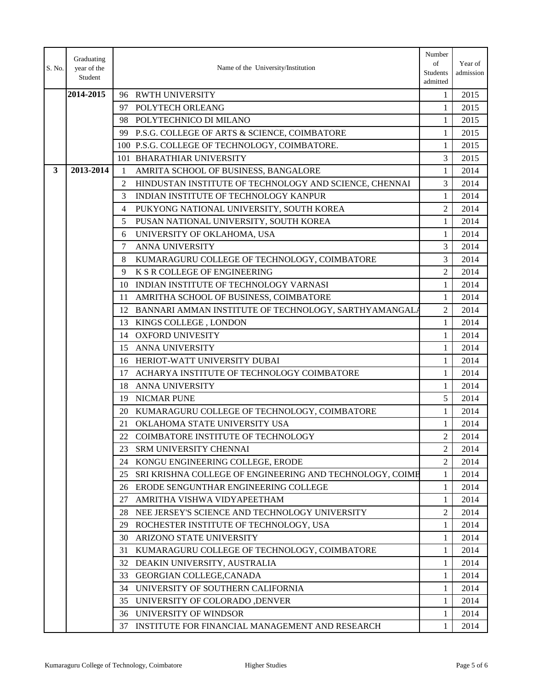| S. No.       | Graduating<br>year of the<br>Student |    | Name of the University/Institution                       | Number<br>of<br>Students<br>admitted | Year of<br>admission |
|--------------|--------------------------------------|----|----------------------------------------------------------|--------------------------------------|----------------------|
|              | 2014-2015                            |    | 96 RWTH UNIVERSITY                                       | $\mathbf{1}$                         | 2015                 |
|              |                                      |    | 97 POLYTECH ORLEANG                                      | 1                                    | 2015                 |
|              |                                      | 98 | POLYTECHNICO DI MILANO                                   | 1                                    | 2015                 |
|              |                                      |    | 99 P.S.G. COLLEGE OF ARTS & SCIENCE, COIMBATORE          | 1                                    | 2015                 |
|              |                                      |    | 100 P.S.G. COLLEGE OF TECHNOLOGY, COIMBATORE.            | $\mathbf{1}$                         | 2015                 |
|              |                                      |    | 101 BHARATHIAR UNIVERSITY                                | 3                                    | 2015                 |
| $\mathbf{3}$ | 2013-2014                            | -1 | AMRITA SCHOOL OF BUSINESS, BANGALORE                     | 1                                    | 2014                 |
|              |                                      | 2  | HINDUSTAN INSTITUTE OF TECHNOLOGY AND SCIENCE, CHENNAI   | 3                                    | 2014                 |
|              |                                      | 3  | INDIAN INSTITUTE OF TECHNOLOGY KANPUR                    | 1                                    | 2014                 |
|              |                                      | 4  | PUKYONG NATIONAL UNIVERSITY, SOUTH KOREA                 | $\mathfrak{D}$                       | 2014                 |
|              |                                      | 5  | PUSAN NATIONAL UNIVERSITY, SOUTH KOREA                   | $\mathbf{1}$                         | 2014                 |
|              |                                      | 6  | UNIVERSITY OF OKLAHOMA, USA                              | 1                                    | 2014                 |
|              |                                      | 7  | ANNA UNIVERSITY                                          | 3                                    | 2014                 |
|              |                                      | 8  | KUMARAGURU COLLEGE OF TECHNOLOGY, COIMBATORE             | 3                                    | 2014                 |
|              |                                      | 9  | K S R COLLEGE OF ENGINEERING                             | $\mathfrak{D}$                       | 2014                 |
|              |                                      | 10 | INDIAN INSTITUTE OF TECHNOLOGY VARNASI                   | 1                                    | 2014                 |
|              |                                      | 11 | AMRITHA SCHOOL OF BUSINESS, COIMBATORE                   | 1                                    | 2014                 |
|              |                                      | 12 | BANNARI AMMAN INSTITUTE OF TECHNOLOGY, SARTHYAMANGALA    | $\overline{2}$                       | 2014                 |
|              |                                      | 13 | KINGS COLLEGE, LONDON                                    | 1                                    | 2014                 |
|              |                                      |    | 14 OXFORD UNIVESITY                                      | $\mathbf{1}$                         | 2014                 |
|              |                                      | 15 | ANNA UNIVERSITY                                          | 1                                    | 2014                 |
|              |                                      | 16 | HERIOT-WATT UNIVERSITY DUBAI                             | 1                                    | 2014                 |
|              |                                      | 17 | ACHARYA INSTITUTE OF TECHNOLOGY COIMBATORE               | $\mathbf{1}$                         | 2014                 |
|              |                                      | 18 | ANNA UNIVERSITY                                          | $\mathbf{1}$                         | 2014                 |
|              |                                      |    | 19 NICMAR PUNE                                           | 5                                    | 2014                 |
|              |                                      | 20 | KUMARAGURU COLLEGE OF TECHNOLOGY, COIMBATORE             | 1                                    | 2014                 |
|              |                                      | 21 | OKLAHOMA STATE UNIVERSITY USA                            | $\mathbf{1}$                         | 2014                 |
|              |                                      | 22 | COIMBATORE INSTITUTE OF TECHNOLOGY                       | $\mathcal{D}$                        | 2014                 |
|              |                                      | 23 | SRM UNIVERSITY CHENNAI                                   | $\overline{2}$                       | 2014                 |
|              |                                      | 24 | KONGU ENGINEERING COLLEGE, ERODE                         | 2                                    | 2014                 |
|              |                                      | 25 | SRI KRISHNA COLLEGE OF ENGINEERING AND TECHNOLOGY, COIME | 1                                    | 2014                 |
|              |                                      |    | 26 ERODE SENGUNTHAR ENGINEERING COLLEGE                  | 1                                    | 2014                 |
|              |                                      | 27 | AMRITHA VISHWA VIDYAPEETHAM                              | 1                                    | 2014                 |
|              |                                      | 28 | NEE JERSEY'S SCIENCE AND TECHNOLOGY UNIVERSITY           | 2                                    | 2014                 |
|              |                                      |    | 29 ROCHESTER INSTITUTE OF TECHNOLOGY, USA                | 1                                    | 2014                 |
|              |                                      |    | 30 ARIZONO STATE UNIVERSITY                              | $\mathbf{1}$                         | 2014                 |
|              |                                      | 31 | KUMARAGURU COLLEGE OF TECHNOLOGY, COIMBATORE             | 1                                    | 2014                 |
|              |                                      |    | 32 DEAKIN UNIVERSITY, AUSTRALIA                          | 1                                    | 2014                 |
|              |                                      | 33 | GEORGIAN COLLEGE, CANADA                                 | 1                                    | 2014                 |
|              |                                      | 34 | UNIVERSITY OF SOUTHERN CALIFORNIA                        | 1                                    | 2014                 |
|              |                                      | 35 | UNIVERSITY OF COLORADO , DENVER                          | 1                                    | 2014                 |
|              |                                      |    | 36 UNIVERSITY OF WINDSOR                                 | 1                                    | 2014                 |
|              |                                      |    | 37 INSTITUTE FOR FINANCIAL MANAGEMENT AND RESEARCH       | 1                                    | 2014                 |